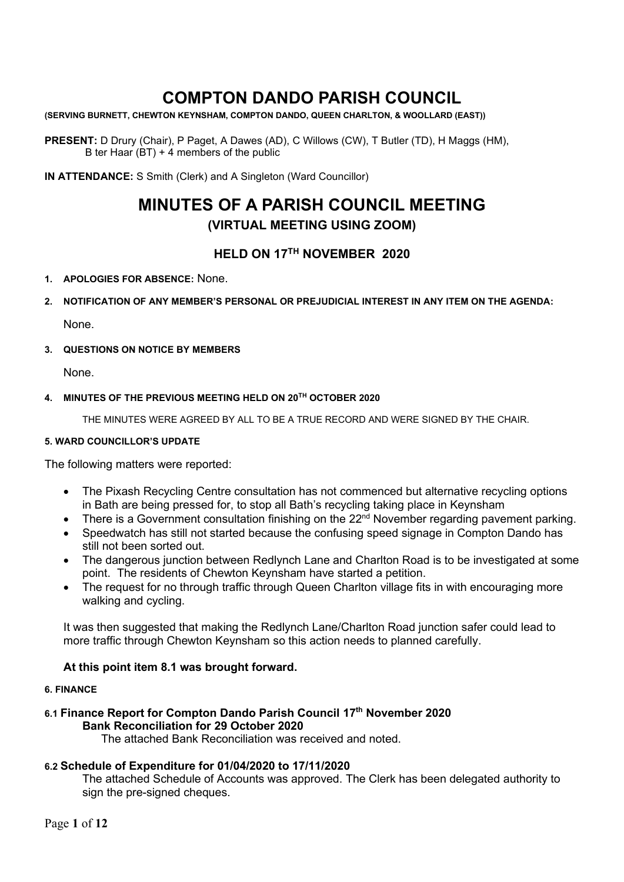# **COMPTON DANDO PARISH COUNCIL**

**(SERVING BURNETT, CHEWTON KEYNSHAM, COMPTON DANDO, QUEEN CHARLTON, & WOOLLARD (EAST))**

**PRESENT:** D Drury (Chair), P Paget, A Dawes (AD), C Willows (CW), T Butler (TD), H Maggs (HM), B ter Haar  $(BT) + 4$  members of the public

**IN ATTENDANCE:** S Smith (Clerk) and A Singleton (Ward Councillor)

# **MINUTES OF A PARISH COUNCIL MEETING (VIRTUAL MEETING USING ZOOM)**

# **HELD ON 17TH NOVEMBER 2020**

# **1. APOLOGIES FOR ABSENCE:** None.

**2. NOTIFICATION OF ANY MEMBER'S PERSONAL OR PREJUDICIAL INTEREST IN ANY ITEM ON THE AGENDA:**

None.

## **3. QUESTIONS ON NOTICE BY MEMBERS**

None.

## **4. MINUTES OF THE PREVIOUS MEETING HELD ON 20TH OCTOBER 2020**

THE MINUTES WERE AGREED BY ALL TO BE A TRUE RECORD AND WERE SIGNED BY THE CHAIR.

## **5. WARD COUNCILLOR'S UPDATE**

The following matters were reported:

- The Pixash Recycling Centre consultation has not commenced but alternative recycling options in Bath are being pressed for, to stop all Bath's recycling taking place in Keynsham
- There is a Government consultation finishing on the 22<sup>nd</sup> November regarding pavement parking.
- Speedwatch has still not started because the confusing speed signage in Compton Dando has still not been sorted out.
- The dangerous junction between Redlynch Lane and Charlton Road is to be investigated at some point. The residents of Chewton Keynsham have started a petition.
- The request for no through traffic through Queen Charlton village fits in with encouraging more walking and cycling.

It was then suggested that making the Redlynch Lane/Charlton Road junction safer could lead to more traffic through Chewton Keynsham so this action needs to planned carefully.

# **At this point item 8.1 was brought forward.**

## **6. FINANCE**

# **6.1 Finance Report for Compton Dando Parish Council 17th November 2020 Bank Reconciliation for 29 October 2020**

The attached Bank Reconciliation was received and noted.

# **6.2 Schedule of Expenditure for 01/04/2020 to 17/11/2020**

The attached Schedule of Accounts was approved. The Clerk has been delegated authority to sign the pre-signed cheques.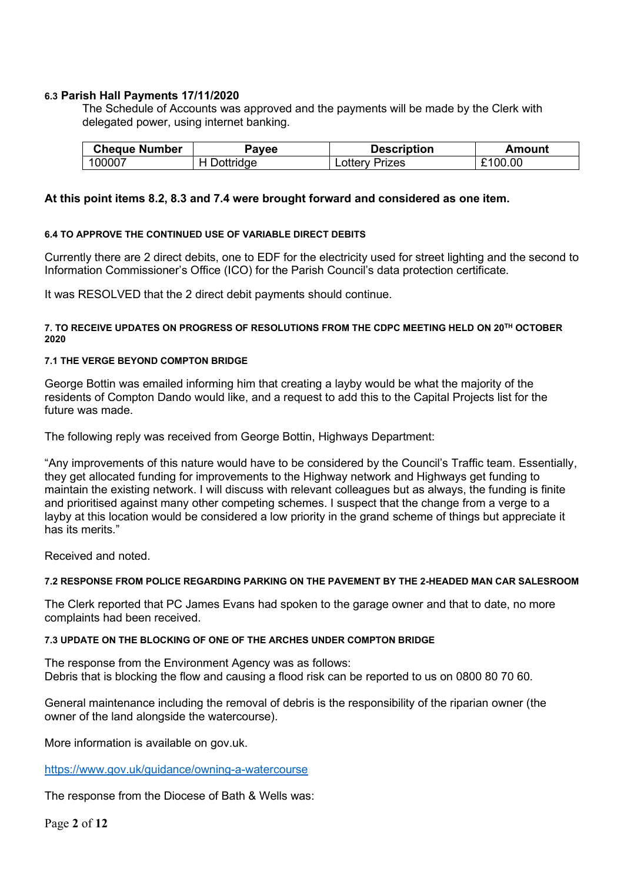# **6.3 Parish Hall Payments 17/11/2020**

The Schedule of Accounts was approved and the payments will be made by the Clerk with delegated power, using internet banking.

| <b>Cheque Number</b> | Payee       | <b>Description</b>    | Amount  |
|----------------------|-------------|-----------------------|---------|
| 100007               | H Dottridge | <b>Lottery Prizes</b> | £100.00 |

## **At this point items 8.2, 8.3 and 7.4 were brought forward and considered as one item.**

## **6.4 TO APPROVE THE CONTINUED USE OF VARIABLE DIRECT DEBITS**

Currently there are 2 direct debits, one to EDF for the electricity used for street lighting and the second to Information Commissioner's Office (ICO) for the Parish Council's data protection certificate.

It was RESOLVED that the 2 direct debit payments should continue.

## **7. TO RECEIVE UPDATES ON PROGRESS OF RESOLUTIONS FROM THE CDPC MEETING HELD ON 20TH OCTOBER 2020**

## **7.1 THE VERGE BEYOND COMPTON BRIDGE**

George Bottin was emailed informing him that creating a layby would be what the majority of the residents of Compton Dando would like, and a request to add this to the Capital Projects list for the future was made.

The following reply was received from George Bottin, Highways Department:

"Any improvements of this nature would have to be considered by the Council's Traffic team. Essentially, they get allocated funding for improvements to the Highway network and Highways get funding to maintain the existing network. I will discuss with relevant colleagues but as always, the funding is finite and prioritised against many other competing schemes. I suspect that the change from a verge to a layby at this location would be considered a low priority in the grand scheme of things but appreciate it has its merits."

Received and noted.

## **7.2 RESPONSE FROM POLICE REGARDING PARKING ON THE PAVEMENT BY THE 2-HEADED MAN CAR SALESROOM**

The Clerk reported that PC James Evans had spoken to the garage owner and that to date, no more complaints had been received.

## **7.3 UPDATE ON THE BLOCKING OF ONE OF THE ARCHES UNDER COMPTON BRIDGE**

The response from the Environment Agency was as follows: Debris that is blocking the flow and causing a flood risk can be reported to us on 0800 80 70 60.

General maintenance including the removal of debris is the responsibility of the riparian owner (the owner of the land alongside the watercourse).

More information is available on gov.uk.

<https://www.gov.uk/guidance/owning-a-watercourse>

The response from the Diocese of Bath & Wells was:

Page **2** of **12**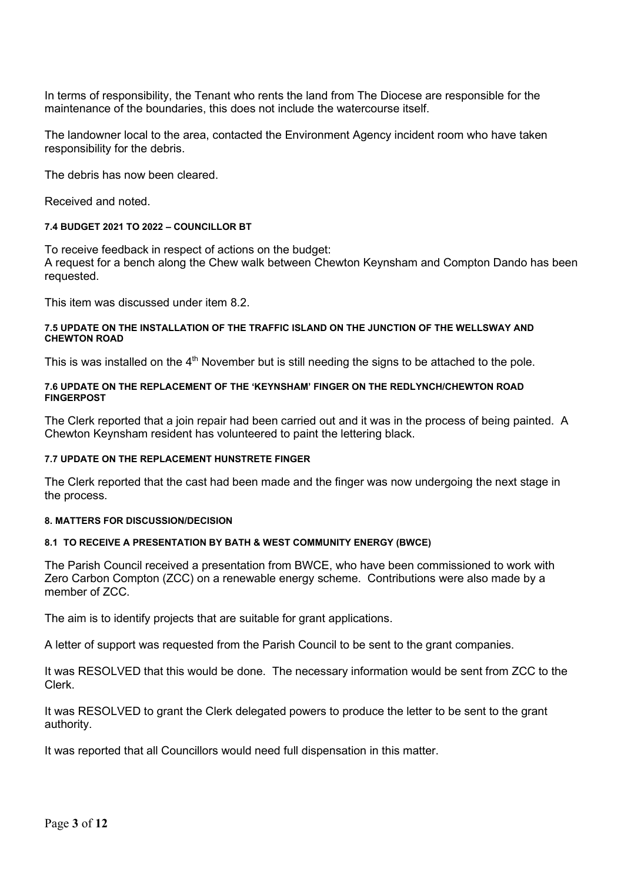In terms of responsibility, the Tenant who rents the land from The Diocese are responsible for the maintenance of the boundaries, this does not include the watercourse itself.

The landowner local to the area, contacted the Environment Agency incident room who have taken responsibility for the debris.

The debris has now been cleared.

Received and noted.

## **7.4 BUDGET 2021 TO 2022 – COUNCILLOR BT**

To receive feedback in respect of actions on the budget: A request for a bench along the Chew walk between Chewton Keynsham and Compton Dando has been requested.

This item was discussed under item 8.2.

## **7.5 UPDATE ON THE INSTALLATION OF THE TRAFFIC ISLAND ON THE JUNCTION OF THE WELLSWAY AND CHEWTON ROAD**

This is was installed on the  $4<sup>th</sup>$  November but is still needing the signs to be attached to the pole.

## **7.6 UPDATE ON THE REPLACEMENT OF THE 'KEYNSHAM' FINGER ON THE REDLYNCH/CHEWTON ROAD FINGERPOST**

The Clerk reported that a join repair had been carried out and it was in the process of being painted. A Chewton Keynsham resident has volunteered to paint the lettering black.

## **7.7 UPDATE ON THE REPLACEMENT HUNSTRETE FINGER**

The Clerk reported that the cast had been made and the finger was now undergoing the next stage in the process.

## **8. MATTERS FOR DISCUSSION/DECISION**

## **8.1 TO RECEIVE A PRESENTATION BY BATH & WEST COMMUNITY ENERGY (BWCE)**

The Parish Council received a presentation from BWCE, who have been commissioned to work with Zero Carbon Compton (ZCC) on a renewable energy scheme. Contributions were also made by a member of ZCC.

The aim is to identify projects that are suitable for grant applications.

A letter of support was requested from the Parish Council to be sent to the grant companies.

It was RESOLVED that this would be done. The necessary information would be sent from ZCC to the Clerk.

It was RESOLVED to grant the Clerk delegated powers to produce the letter to be sent to the grant authority.

It was reported that all Councillors would need full dispensation in this matter.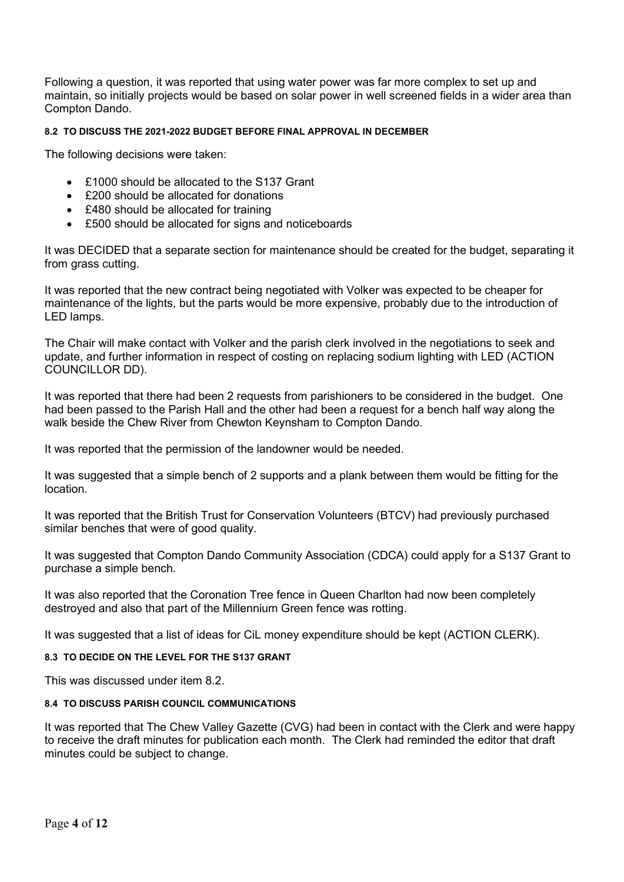Following a question, it was reported that using water power was far more complex to set up and maintain, so initially projects would be based on solar power in well screened fields in a wider area than Compton Dando.

## **8.2 TO DISCUSS THE 2021-2022 BUDGET BEFORE FINAL APPROVAL IN DECEMBER**

The following decisions were taken:

- £1000 should be allocated to the S137 Grant
- £200 should be allocated for donations
- £480 should be allocated for training
- £500 should be allocated for signs and noticeboards

It was DECIDED that a separate section for maintenance should be created for the budget, separating it from grass cutting.

It was reported that the new contract being negotiated with Volker was expected to be cheaper for maintenance of the lights, but the parts would be more expensive, probably due to the introduction of LED lamps.

The Chair will make contact with Volker and the parish clerk involved in the negotiations to seek and update, and further information in respect of costing on replacing sodium lighting with LED (ACTION COUNCILLOR DD).

It was reported that there had been 2 requests from parishioners to be considered in the budget. One had been passed to the Parish Hall and the other had been a request for a bench half way along the walk beside the Chew River from Chewton Keynsham to Compton Dando.

It was reported that the permission of the landowner would be needed.

It was suggested that a simple bench of 2 supports and a plank between them would be fitting for the location.

It was reported that the British Trust for Conservation Volunteers (BTCV) had previously purchased similar benches that were of good quality.

It was suggested that Compton Dando Community Association (CDCA) could apply for a S137 Grant to purchase a simple bench.

It was also reported that the Coronation Tree fence in Queen Charlton had now been completely destroyed and also that part of the Millennium Green fence was rotting.

It was suggested that a list of ideas for CiL money expenditure should be kept (ACTION CLERK).

## **8.3 TO DECIDE ON THE LEVEL FOR THE S137 GRANT**

This was discussed under item 8.2.

## **8.4 TO DISCUSS PARISH COUNCIL COMMUNICATIONS**

It was reported that The Chew Valley Gazette (CVG) had been in contact with the Clerk and were happy to receive the draft minutes for publication each month. The Clerk had reminded the editor that draft minutes could be subject to change.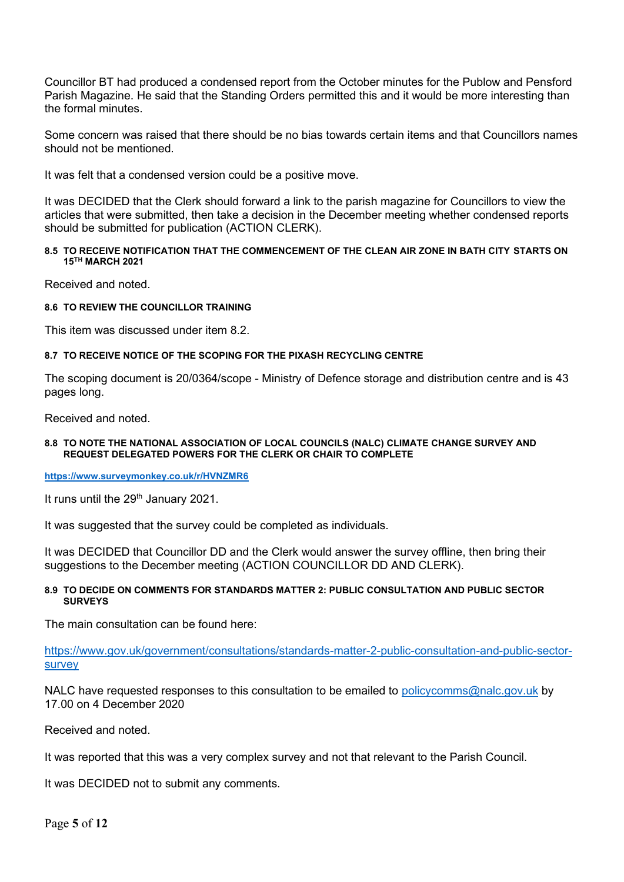Councillor BT had produced a condensed report from the October minutes for the Publow and Pensford Parish Magazine. He said that the Standing Orders permitted this and it would be more interesting than the formal minutes.

Some concern was raised that there should be no bias towards certain items and that Councillors names should not be mentioned.

It was felt that a condensed version could be a positive move.

It was DECIDED that the Clerk should forward a link to the parish magazine for Councillors to view the articles that were submitted, then take a decision in the December meeting whether condensed reports should be submitted for publication (ACTION CLERK).

## **8.5 TO RECEIVE NOTIFICATION THAT THE COMMENCEMENT OF THE CLEAN AIR ZONE IN BATH CITY STARTS ON 15TH MARCH 2021**

Received and noted.

## **8.6 TO REVIEW THE COUNCILLOR TRAINING**

This item was discussed under item 8.2.

## **8.7 TO RECEIVE NOTICE OF THE SCOPING FOR THE PIXASH RECYCLING CENTRE**

The scoping document is 20/0364/scope - Ministry of Defence storage and distribution centre and is 43 pages long.

Received and noted.

## **8.8 TO NOTE THE NATIONAL ASSOCIATION OF LOCAL COUNCILS (NALC) CLIMATE CHANGE SURVEY AND REQUEST DELEGATED POWERS FOR THE CLERK OR CHAIR TO COMPLETE**

**<https://www.surveymonkey.co.uk/r/HVNZMR6>**

It runs until the 29<sup>th</sup> January 2021.

It was suggested that the survey could be completed as individuals.

It was DECIDED that Councillor DD and the Clerk would answer the survey offline, then bring their suggestions to the December meeting (ACTION COUNCILLOR DD AND CLERK).

## **8.9 TO DECIDE ON COMMENTS FOR STANDARDS MATTER 2: PUBLIC CONSULTATION AND PUBLIC SECTOR SURVEYS**

The main consultation can be found here:

[https://www.gov.uk/government/consultations/standards-matter-2-public-consultation-and-public-sector](https://www.gov.uk/government/consultations/standards-matter-2-public-consultation-and-public-sector-survey)[survey](https://www.gov.uk/government/consultations/standards-matter-2-public-consultation-and-public-sector-survey)

NALC have requested responses to this consultation to be emailed to [policycomms@nalc.gov.uk](mailto:policycomms@nalc.gov.uk) by 17.00 on 4 December 2020

Received and noted.

It was reported that this was a very complex survey and not that relevant to the Parish Council.

It was DECIDED not to submit any comments.

Page **5** of **12**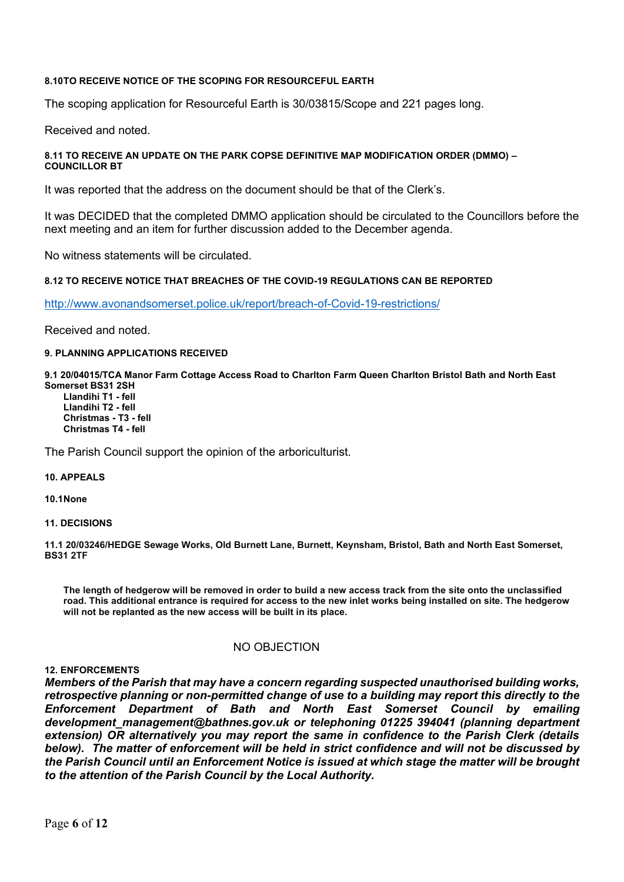## **8.10TO RECEIVE NOTICE OF THE SCOPING FOR RESOURCEFUL EARTH**

The scoping application for Resourceful Earth is 30/03815/Scope and 221 pages long.

Received and noted.

## **8.11 TO RECEIVE AN UPDATE ON THE PARK COPSE DEFINITIVE MAP MODIFICATION ORDER (DMMO) – COUNCILLOR BT**

It was reported that the address on the document should be that of the Clerk's.

It was DECIDED that the completed DMMO application should be circulated to the Councillors before the next meeting and an item for further discussion added to the December agenda.

No witness statements will be circulated.

## **8.12 TO RECEIVE NOTICE THAT BREACHES OF THE COVID-19 REGULATIONS CAN BE REPORTED**

<http://www.avonandsomerset.police.uk/report/breach-of-Covid-19-restrictions/>

Received and noted.

## **9. PLANNING APPLICATIONS RECEIVED**

**9.1 20/04015/TCA Manor Farm Cottage Access Road to Charlton Farm Queen Charlton Bristol Bath and North East Somerset BS31 2SH** 

**Llandihi T1 - fell Llandihi T2 - fell Christmas - T3 - fell Christmas T4 - fell**

The Parish Council support the opinion of the arboriculturist.

**10. APPEALS**

**10.1None**

**11. DECISIONS**

**11.1 20/03246/HEDGE Sewage Works, Old Burnett Lane, Burnett, Keynsham, Bristol, Bath and North East Somerset, BS31 2TF**

**The length of hedgerow will be removed in order to build a new access track from the site onto the unclassified road. This additional entrance is required for access to the new inlet works being installed on site. The hedgerow will not be replanted as the new access will be built in its place.**

## NO OBJECTION

## **12. ENFORCEMENTS**

*Members of the Parish that may have a concern regarding suspected unauthorised building works, retrospective planning or non-permitted change of use to a building may report this directly to the Enforcement Department of Bath and North East Somerset Council by emailing development\_management@bathnes.gov.uk or telephoning 01225 394041 (planning department extension) OR alternatively you may report the same in confidence to the Parish Clerk (details below). The matter of enforcement will be held in strict confidence and will not be discussed by the Parish Council until an Enforcement Notice is issued at which stage the matter will be brought to the attention of the Parish Council by the Local Authority.*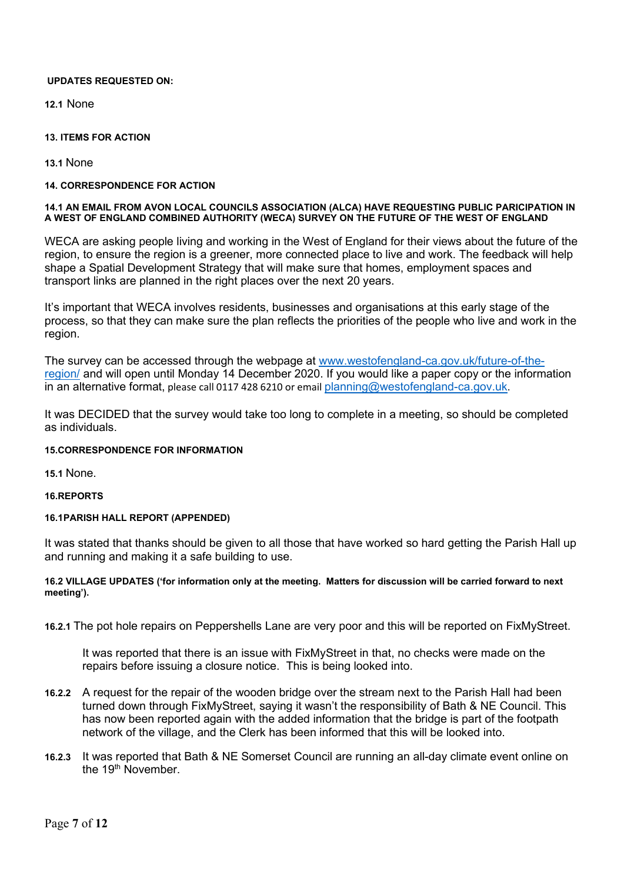## **UPDATES REQUESTED ON:**

**12.1** None

## **13. ITEMS FOR ACTION**

**13.1** None

## **14. CORRESPONDENCE FOR ACTION**

## **14.1 AN EMAIL FROM AVON LOCAL COUNCILS ASSOCIATION (ALCA) HAVE REQUESTING PUBLIC PARICIPATION IN A WEST OF ENGLAND COMBINED AUTHORITY (WECA) SURVEY ON THE FUTURE OF THE WEST OF ENGLAND**

WECA are asking people living and working in the West of England for their views about the future of the region, to ensure the region is a greener, more connected place to live and work. The feedback will help shape a Spatial Development Strategy that will make sure that homes, employment spaces and transport links are planned in the right places over the next 20 years.

It's important that WECA involves residents, businesses and organisations at this early stage of the process, so that they can make sure the plan reflects the priorities of the people who live and work in the region.

The survey can be accessed through the webpage at [www.westofengland-ca.gov.uk/future-of-the](http://www.westofengland-ca.gov.uk/future-of-the-region/)[region/](http://www.westofengland-ca.gov.uk/future-of-the-region/) and will open until Monday 14 December 2020. If you would like a paper copy or the information in an alternative format, please call 0117 428 6210 or email [planning@westofengland-ca.gov.uk](mailto:planning@westofengland-ca.gov.uk).

It was DECIDED that the survey would take too long to complete in a meeting, so should be completed as individuals.

## **15.CORRESPONDENCE FOR INFORMATION**

**15.1** None.

**16.REPORTS**

## **16.1PARISH HALL REPORT (APPENDED)**

It was stated that thanks should be given to all those that have worked so hard getting the Parish Hall up and running and making it a safe building to use.

**16.2 VILLAGE UPDATES ('for information only at the meeting. Matters for discussion will be carried forward to next meeting').**

**16.2.1** The pot hole repairs on Peppershells Lane are very poor and this will be reported on FixMyStreet.

It was reported that there is an issue with FixMyStreet in that, no checks were made on the repairs before issuing a closure notice. This is being looked into.

- **16.2.2** A request for the repair of the wooden bridge over the stream next to the Parish Hall had been turned down through FixMyStreet, saying it wasn't the responsibility of Bath & NE Council. This has now been reported again with the added information that the bridge is part of the footpath network of the village, and the Clerk has been informed that this will be looked into.
- **16.2.3** It was reported that Bath & NE Somerset Council are running an all-day climate event online on the 19th November.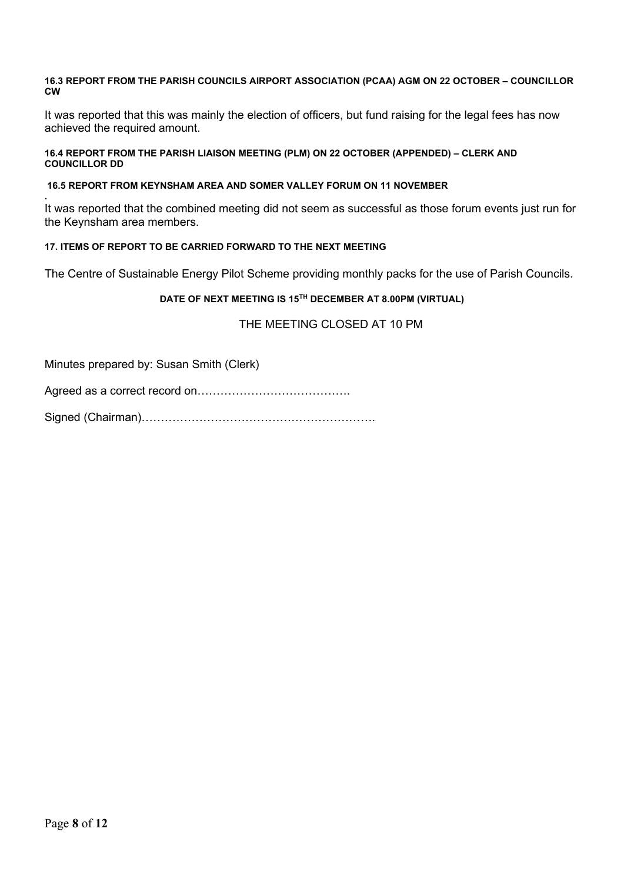## **16.3 REPORT FROM THE PARISH COUNCILS AIRPORT ASSOCIATION (PCAA) AGM ON 22 OCTOBER – COUNCILLOR CW**

It was reported that this was mainly the election of officers, but fund raising for the legal fees has now achieved the required amount.

## **16.4 REPORT FROM THE PARISH LIAISON MEETING (PLM) ON 22 OCTOBER (APPENDED) – CLERK AND COUNCILLOR DD**

## **16.5 REPORT FROM KEYNSHAM AREA AND SOMER VALLEY FORUM ON 11 NOVEMBER**

**.** It was reported that the combined meeting did not seem as successful as those forum events just run for the Keynsham area members.

## **17. ITEMS OF REPORT TO BE CARRIED FORWARD TO THE NEXT MEETING**

The Centre of Sustainable Energy Pilot Scheme providing monthly packs for the use of Parish Councils.

## **DATE OF NEXT MEETING IS 15TH DECEMBER AT 8.00PM (VIRTUAL)**

THE MEETING CLOSED AT 10 PM

Minutes prepared by: Susan Smith (Clerk)

Agreed as a correct record on………………………………….

Signed (Chairman)…………………………………………………….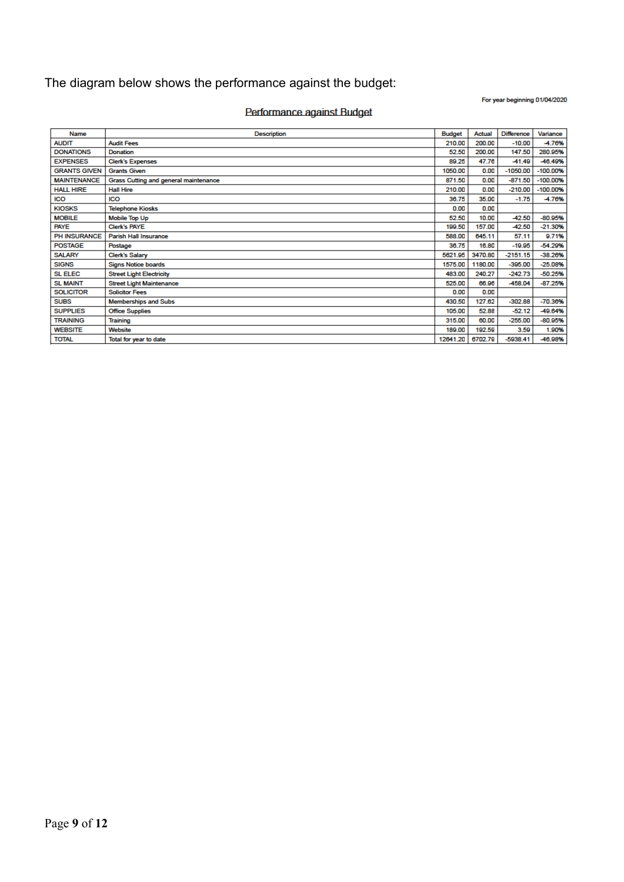# The diagram below shows the performance against the budget:

For year beginning 01/04/2020

# Performance against Budget

| Name                | <b>Description</b>                    | <b>Budget</b> | Actual  | <b>Difference</b> | Variance   |
|---------------------|---------------------------------------|---------------|---------|-------------------|------------|
| <b>AUDIT</b>        | <b>Audit Fees</b>                     | 210.00        | 200.00  | $-10.00$          | -4.76%     |
| <b>DONATIONS</b>    | Donation                              | 52.50         | 200.00  | 147.50            | 280.95%    |
| <b>EXPENSES</b>     | <b>Clerk's Expenses</b>               | 89.25         | 47.76   | -41.49            | -46.49%    |
| <b>GRANTS GIVEN</b> | <b>Grants Given</b>                   | 1050.00       | 0.00    | $-1050.00$        | $-100.00%$ |
| <b>MAINTENANCE</b>  | Grass Cutting and general maintenance | 871.50        | 0.00    | $-871.50$         | $-100.00%$ |
| <b>HALL HIRE</b>    | <b>Hall Hire</b>                      | 210.00        | 0.00    | $-210.00$         | $-100.00%$ |
| <b>ICO</b>          | ICO                                   | 36.75         | 35.00   | $-1.75$           | -4.76%     |
| <b>KIOSKS</b>       | <b>Telephone Kiosks</b>               | 0.00          | 0.00    |                   |            |
| <b>MOBILE</b>       | <b>Mobile Top Up</b>                  | 52.50         | 10.00   | $-42.50$          | $-80.95%$  |
| <b>PAYE</b>         | <b>Clerk's PAYE</b>                   | 199,50        | 157.00  | $-42.50$          | $-21.30%$  |
| PH INSURANCE        | Parish Hall Insurance                 | 588,00        | 645.11  | 57.11             | 9.71%      |
| <b>POSTAGE</b>      | Postage                               | 36.75         | 16.80   | $-19.95$          | $-54.29%$  |
| <b>SALARY</b>       | <b>Clerk's Salary</b>                 | 5621.95       | 3470.80 | $-2151.15$        | $-38.26%$  |
| <b>SIGNS</b>        | <b>Signs Notice boards</b>            | 1575.00       | 1180.00 | $-395.00$         | $-25.08%$  |
| <b>SL ELEC</b>      | <b>Street Light Electricity</b>       | 483.00        | 240.27  | $-242.73$         | $-50.25%$  |
| <b>SL MAINT</b>     | <b>Street Light Maintenance</b>       | 525.00        | 66.96   | -458.04           | $-87.25%$  |
| <b>SOLICITOR</b>    | <b>Solicitor Fees</b>                 | 0.00          | 0.00    |                   |            |
| <b>SUBS</b>         | <b>Memberships and Subs</b>           | 430.50        | 127.62  | $-302.88$         | $-70.36%$  |
| <b>SUPPLIES</b>     | <b>Office Supplies</b>                | 105.00        | 52.88   | $-52.12$          | -49.64%    |
| <b>TRAINING</b>     | Training                              | 315.00        | 60.00   | $-255.00$         | $-80.95%$  |
| <b>WEBSITE</b>      | Website                               | 189.00        | 192.59  | 3.59              | 1.90%      |
| <b>TOTAL</b>        | Total for year to date                | 12641.20      | 6702.79 | $-5938.41$        | -46.98%    |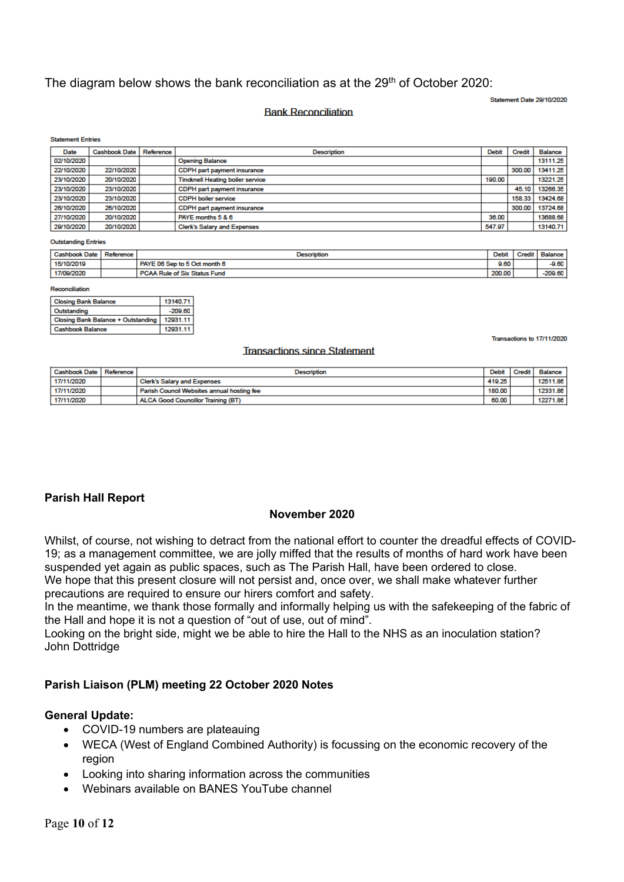# The diagram below shows the bank reconciliation as at the 29<sup>th</sup> of October 2020:

Statement Date 29/10/2020

### **Bank Reconciliation**

#### **Statement Entries**

| Date       | <b>Cashbook Date</b> | Reference | <b>Description</b>                      | <b>Debit</b> | <b>Credit</b> | <b>Balance</b> |
|------------|----------------------|-----------|-----------------------------------------|--------------|---------------|----------------|
| 02/10/2020 |                      |           | <b>Opening Balance</b>                  |              |               | 13111.25       |
| 22/10/2020 | 22/10/2020           |           | CDPH part payment insurance             |              | 300.00        | 13411.25       |
| 23/10/2020 | 20/10/2020           |           | <b>Tincknell Heating boiler service</b> | 190.00       |               | 13221.25       |
| 23/10/2020 | 23/10/2020           |           | CDPH part payment insurance             |              | 45.10         | 13266.35       |
| 23/10/2020 | 23/10/2020           |           | <b>CDPH</b> boiler service              |              | 158.33        | 13424.68       |
| 26/10/2020 | 26/10/2020           |           | CDPH part payment insurance             |              | 300.00        | 13724.68       |
| 27/10/2020 | 20/10/2020           |           | PAYE months 5 & 6                       | 36,00        |               | 13688.68       |
| 29/10/2020 | 20/10/2020           |           | <b>Clerk's Salary and Expenses</b>      | 547.97       |               | 13140 71       |

#### **Outstanding Entries**

| <b>Cashbook Date</b> | Reference | Description                    | <b>Debit</b> | Credi | <b>Balance</b> |
|----------------------|-----------|--------------------------------|--------------|-------|----------------|
| 15/10/2019           |           | PAYE 06 Sep to 5 Oct month 6   | 9.60         |       | $-9.60$        |
| 17/09/2020           |           | I PCAA Rule of Six Status Fund | 200.00       |       | 209.60         |

#### Reconciliation

| <b>Closing Bank Balance</b>        | 13140.71  |
|------------------------------------|-----------|
| Outstanding                        | $-209.60$ |
| Closing Bank Balance + Outstanding | 12931.11  |
| <b>Cashbook Balance</b>            | 12931.11  |

#### **Transactions since Statement**

Transactions to 17/11/2020

| Cashbook Date   Reference | <b>Description</b>                         | Debit  | Credit | Balance  |
|---------------------------|--------------------------------------------|--------|--------|----------|
| 17/11/2020                | <b>Clerk's Salary and Expenses</b>         | 419.25 |        | 12511.86 |
| 17/11/2020                | Parish Council Websites annual hosting fee | 180.00 |        | 12331.86 |
| 17/11/2020                | <b>ALCA Good Councillor Training (BT)</b>  | 60.00  |        | 12271.86 |

## **Parish Hall Report**

## **November 2020**

Whilst, of course, not wishing to detract from the national effort to counter the dreadful effects of COVID-19; as a management committee, we are jolly miffed that the results of months of hard work have been suspended yet again as public spaces, such as The Parish Hall, have been ordered to close. We hope that this present closure will not persist and, once over, we shall make whatever further precautions are required to ensure our hirers comfort and safety.

In the meantime, we thank those formally and informally helping us with the safekeeping of the fabric of the Hall and hope it is not a question of "out of use, out of mind".

Looking on the bright side, might we be able to hire the Hall to the NHS as an inoculation station? John Dottridge

# **Parish Liaison (PLM) meeting 22 October 2020 Notes**

## **General Update:**

- COVID-19 numbers are plateauing
- WECA (West of England Combined Authority) is focussing on the economic recovery of the region
- Looking into sharing information across the communities
- Webinars available on BANES YouTube channel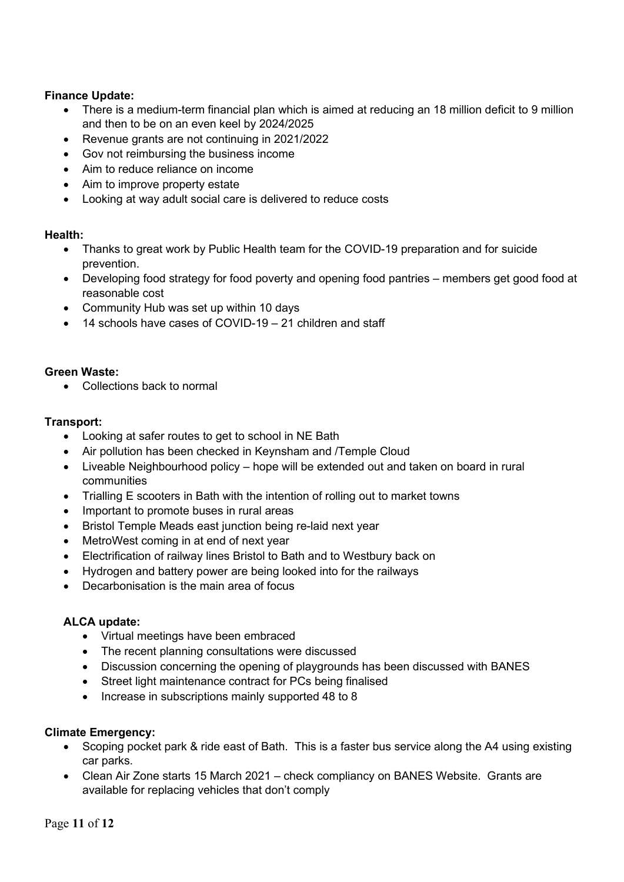# **Finance Update:**

- There is a medium-term financial plan which is aimed at reducing an 18 million deficit to 9 million and then to be on an even keel by 2024/2025
- Revenue grants are not continuing in 2021/2022
- Gov not reimbursing the business income
- Aim to reduce reliance on income
- Aim to improve property estate
- Looking at way adult social care is delivered to reduce costs

# **Health:**

- Thanks to great work by Public Health team for the COVID-19 preparation and for suicide prevention.
- Developing food strategy for food poverty and opening food pantries members get good food at reasonable cost
- Community Hub was set up within 10 days
- 14 schools have cases of COVID-19 21 children and staff

# **Green Waste:**

• Collections back to normal

# **Transport:**

- Looking at safer routes to get to school in NE Bath
- Air pollution has been checked in Keynsham and /Temple Cloud
- Liveable Neighbourhood policy hope will be extended out and taken on board in rural communities
- Trialling E scooters in Bath with the intention of rolling out to market towns
- Important to promote buses in rural areas
- Bristol Temple Meads east junction being re-laid next year
- MetroWest coming in at end of next year
- Electrification of railway lines Bristol to Bath and to Westbury back on
- Hydrogen and battery power are being looked into for the railways
- Decarbonisation is the main area of focus

# **ALCA update:**

- Virtual meetings have been embraced
- The recent planning consultations were discussed
- Discussion concerning the opening of playgrounds has been discussed with BANES
- Street light maintenance contract for PCs being finalised
- Increase in subscriptions mainly supported 48 to 8

# **Climate Emergency:**

- Scoping pocket park & ride east of Bath. This is a faster bus service along the A4 using existing car parks.
- Clean Air Zone starts 15 March 2021 check compliancy on BANES Website. Grants are available for replacing vehicles that don't comply